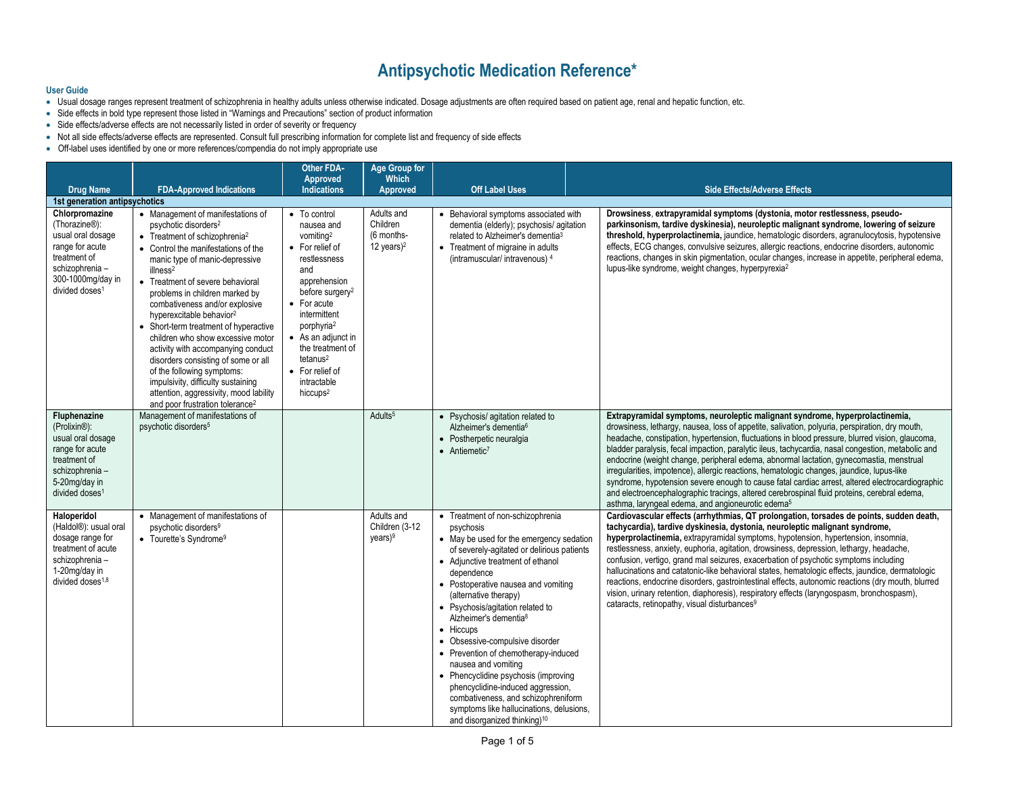## **Antipsychotic Medication Reference\***

#### **User Guide**

- Usual dosage ranges represent treatment of schizophrenia in healthy adults unless otherwise indicated. Dosage adjustments are often required based on patient age, renal and hepatic function, etc.
- Side effects in bold type represent those listed in "Warnings and Precautions" section of product information
- Side effects/adverse effects are not necessarily listed in order of severity or frequency
- Not all side effects/adverse effects are represented. Consult full prescribing information for complete list and frequency of side effects
- Off-label uses identified by one or more references/compendia do not imply appropriate use

|                                                                                                                                                                            |                                                                                                                                                                                                                                                                                                                                                                                                                                                                                                                                                                                                                                                                                             | <b>Other FDA-</b><br>Approved                                                                                                                                                                                                                                                                                            | <b>Age Group for</b><br><b>Which</b>                  |                                                                                                                                                                                                                                                                                                                                                                                                                                                                                                                                                                                                                                                              |                                                                                                                                                                                                                                                                                                                                                                                                                                                                                                                                                                                                                                                                                                                                                                                                                                                   |
|----------------------------------------------------------------------------------------------------------------------------------------------------------------------------|---------------------------------------------------------------------------------------------------------------------------------------------------------------------------------------------------------------------------------------------------------------------------------------------------------------------------------------------------------------------------------------------------------------------------------------------------------------------------------------------------------------------------------------------------------------------------------------------------------------------------------------------------------------------------------------------|--------------------------------------------------------------------------------------------------------------------------------------------------------------------------------------------------------------------------------------------------------------------------------------------------------------------------|-------------------------------------------------------|--------------------------------------------------------------------------------------------------------------------------------------------------------------------------------------------------------------------------------------------------------------------------------------------------------------------------------------------------------------------------------------------------------------------------------------------------------------------------------------------------------------------------------------------------------------------------------------------------------------------------------------------------------------|---------------------------------------------------------------------------------------------------------------------------------------------------------------------------------------------------------------------------------------------------------------------------------------------------------------------------------------------------------------------------------------------------------------------------------------------------------------------------------------------------------------------------------------------------------------------------------------------------------------------------------------------------------------------------------------------------------------------------------------------------------------------------------------------------------------------------------------------------|
| <b>Drug Name</b>                                                                                                                                                           | <b>FDA-Approved Indications</b>                                                                                                                                                                                                                                                                                                                                                                                                                                                                                                                                                                                                                                                             | <b>Indications</b>                                                                                                                                                                                                                                                                                                       | <b>Approved</b>                                       | <b>Off Label Uses</b>                                                                                                                                                                                                                                                                                                                                                                                                                                                                                                                                                                                                                                        | <b>Side Effects/Adverse Effects</b>                                                                                                                                                                                                                                                                                                                                                                                                                                                                                                                                                                                                                                                                                                                                                                                                               |
| 1st generation antipsychotics                                                                                                                                              |                                                                                                                                                                                                                                                                                                                                                                                                                                                                                                                                                                                                                                                                                             |                                                                                                                                                                                                                                                                                                                          |                                                       |                                                                                                                                                                                                                                                                                                                                                                                                                                                                                                                                                                                                                                                              |                                                                                                                                                                                                                                                                                                                                                                                                                                                                                                                                                                                                                                                                                                                                                                                                                                                   |
| Chlorpromazine<br>(Thorazine <sup>®</sup> ):<br>usual oral dosage<br>range for acute<br>treatment of<br>schizophrenia -<br>300-1000mg/day in<br>divided doses <sup>1</sup> | • Management of manifestations of<br>psychotic disorders <sup>2</sup><br>• Treatment of schizophrenia <sup>2</sup><br>• Control the manifestations of the<br>manic type of manic-depressive<br>illness <sup>2</sup><br>• Treatment of severe behavioral<br>problems in children marked by<br>combativeness and/or explosive<br>hyperexcitable behavior <sup>2</sup><br>• Short-term treatment of hyperactive<br>children who show excessive motor<br>activity with accompanying conduct<br>disorders consisting of some or all<br>of the following symptoms:<br>impulsivity, difficulty sustaining<br>attention, aggressivity, mood lability<br>and poor frustration tolerance <sup>2</sup> | • To control<br>nausea and<br>vomiting <sup>2</sup><br>• For relief of<br>restlessness<br>and<br>apprehension<br>before surgery <sup>2</sup><br>• For acute<br>intermittent<br>porphyria <sup>2</sup><br>• As an adjunct in<br>the treatment of<br>tetanus $2$<br>• For relief of<br>intractable<br>hiccups <sup>2</sup> | Adults and<br>Children<br>(6 months-<br>12 years) $2$ | • Behavioral symptoms associated with<br>dementia (elderly); psychosis/agitation<br>related to Alzheimer's dementia <sup>3</sup><br>• Treatment of migraine in adults<br>(intramuscular/intravenous) 4                                                                                                                                                                                                                                                                                                                                                                                                                                                       | Drowsiness, extrapyramidal symptoms (dystonia, motor restlessness, pseudo-<br>parkinsonism, tardive dyskinesia), neuroleptic malignant syndrome, lowering of seizure<br>threshold, hyperprolactinemia, jaundice, hematologic disorders, agranulocytosis, hypotensive<br>effects, ECG changes, convulsive seizures, allergic reactions, endocrine disorders, autonomic<br>reactions, changes in skin pigmentation, ocular changes, increase in appetite, peripheral edema,<br>lupus-like syndrome, weight changes, hyperpyrexia <sup>2</sup>                                                                                                                                                                                                                                                                                                       |
| Fluphenazine<br>(Prolixin <sup>®</sup> ):<br>usual oral dosage<br>range for acute<br>treatment of<br>schizophrenia-<br>5-20mg/day in<br>divided doses <sup>1</sup>         | Management of manifestations of<br>psychotic disorders <sup>5</sup>                                                                                                                                                                                                                                                                                                                                                                                                                                                                                                                                                                                                                         |                                                                                                                                                                                                                                                                                                                          | Adults <sup>5</sup>                                   | • Psychosis/ agitation related to<br>Alzheimer's dementia <sup>6</sup><br>• Postherpetic neuralgia<br>• Antiemetic <sup>7</sup>                                                                                                                                                                                                                                                                                                                                                                                                                                                                                                                              | Extrapyramidal symptoms, neuroleptic malignant syndrome, hyperprolactinemia,<br>drowsiness, lethargy, nausea, loss of appetite, salivation, polyuria, perspiration, dry mouth,<br>headache, constipation, hypertension, fluctuations in blood pressure, blurred vision, glaucoma,<br>bladder paralysis, fecal impaction, paralytic ileus, tachycardia, nasal congestion, metabolic and<br>endocrine (weight change, peripheral edema, abnormal lactation, gynecomastia, menstrual<br>irregularities, impotence), allergic reactions, hematologic changes, jaundice, lupus-like<br>syndrome, hypotension severe enough to cause fatal cardiac arrest, altered electrocardiographic<br>and electroencephalographic tracings, altered cerebrospinal fluid proteins, cerebral edema,<br>asthma, laryngeal edema, and angioneurotic edema <sup>5</sup> |
| Haloperidol<br>(Haldol®): usual oral<br>dosage range for<br>treatment of acute<br>schizophrenia-<br>1-20mg/day in<br>divided doses <sup>1,8</sup>                          | • Management of manifestations of<br>psychotic disorders <sup>9</sup><br>• Tourette's Syndrome <sup>9</sup>                                                                                                                                                                                                                                                                                                                                                                                                                                                                                                                                                                                 |                                                                                                                                                                                                                                                                                                                          | Adults and<br>Children (3-12<br>$years)^9$            | • Treatment of non-schizophrenia<br>psychosis<br>• May be used for the emergency sedation<br>of severely-agitated or delirious patients<br>• Adjunctive treatment of ethanol<br>dependence<br>• Postoperative nausea and vomiting<br>(alternative therapy)<br>• Psychosis/agitation related to<br>Alzheimer's dementia <sup>8</sup><br>• Hiccups<br>Obsessive-compulsive disorder<br>• Prevention of chemotherapy-induced<br>nausea and vomiting<br>• Phencyclidine psychosis (improving<br>phencyclidine-induced aggression,<br>combativeness, and schizophreniform<br>symptoms like hallucinations, delusions,<br>and disorganized thinking) <sup>10</sup> | Cardiovascular effects (arrhythmias, QT prolongation, torsades de points, sudden death,<br>tachycardia), tardive dyskinesia, dystonia, neuroleptic malignant syndrome,<br>hyperprolactinemia, extrapyramidal symptoms, hypotension, hypertension, insomnia,<br>restlessness, anxiety, euphoria, agitation, drowsiness, depression, lethargy, headache,<br>confusion, vertigo, grand mal seizures, exacerbation of psychotic symptoms including<br>hallucinations and catatonic-like behavioral states, hematologic effects, jaundice, dermatologic<br>reactions, endocrine disorders, gastrointestinal effects, autonomic reactions (dry mouth, blurred<br>vision, urinary retention, diaphoresis), respiratory effects (laryngospasm, bronchospasm),<br>cataracts, retinopathy, visual disturbances <sup>9</sup>                                 |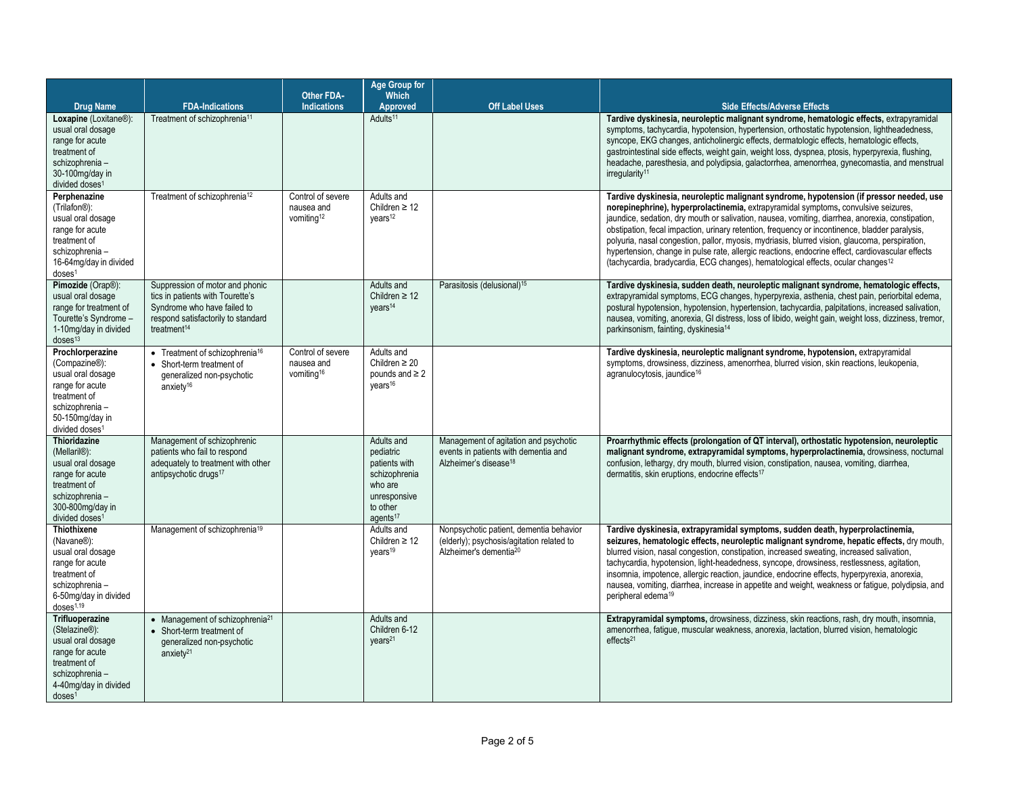|                                                                                                                                                                              |                                                                                                                                                                     | <b>Other FDA-</b>                                         | Age Group for<br><b>Which</b>                                                                                            |                                                                                                                            |                                                                                                                                                                                                                                                                                                                                                                                                                                                                                                                                                                                                                                                                                           |
|------------------------------------------------------------------------------------------------------------------------------------------------------------------------------|---------------------------------------------------------------------------------------------------------------------------------------------------------------------|-----------------------------------------------------------|--------------------------------------------------------------------------------------------------------------------------|----------------------------------------------------------------------------------------------------------------------------|-------------------------------------------------------------------------------------------------------------------------------------------------------------------------------------------------------------------------------------------------------------------------------------------------------------------------------------------------------------------------------------------------------------------------------------------------------------------------------------------------------------------------------------------------------------------------------------------------------------------------------------------------------------------------------------------|
| <b>Drug Name</b>                                                                                                                                                             | <b>FDA-Indications</b>                                                                                                                                              | <b>Indications</b>                                        | Approved                                                                                                                 | <b>Off Label Uses</b>                                                                                                      | <b>Side Effects/Adverse Effects</b>                                                                                                                                                                                                                                                                                                                                                                                                                                                                                                                                                                                                                                                       |
| Loxapine (Loxitane®):<br>usual oral dosage<br>range for acute<br>treatment of<br>schizophrenia-<br>30-100mg/day in<br>divided doses <sup>1</sup>                             | Treatment of schizophrenia <sup>11</sup>                                                                                                                            |                                                           | Adults <sup>11</sup>                                                                                                     |                                                                                                                            | Tardive dyskinesia, neuroleptic malignant syndrome, hematologic effects, extrapyramidal<br>symptoms, tachycardia, hypotension, hypertension, orthostatic hypotension, lightheadedness,<br>syncope, EKG changes, anticholinergic effects, dermatologic effects, hematologic effects,<br>gastrointestinal side effects, weight gain, weight loss, dyspnea, ptosis, hyperpyrexia, flushing,<br>headache, paresthesia, and polydipsia, galactorrhea, amenorrhea, gynecomastia, and menstrual<br>irregularity <sup>11</sup>                                                                                                                                                                    |
| Perphenazine<br>(Trilafon <sup>®</sup> ):<br>usual oral dosage<br>range for acute<br>treatment of<br>schizophrenia -<br>16-64mg/day in divided<br>doses <sup>1</sup>         | Treatment of schizophrenia <sup>12</sup>                                                                                                                            | Control of severe<br>nausea and<br>vomiting <sup>12</sup> | Adults and<br>Children $\geq 12$<br>vears <sup>12</sup>                                                                  |                                                                                                                            | Tardive dyskinesia, neuroleptic malignant syndrome, hypotension (if pressor needed, use<br>norepinephrine), hyperprolactinemia, extrapyramidal symptoms, convulsive seizures,<br>jaundice, sedation, dry mouth or salivation, nausea, vomiting, diarrhea, anorexia, constipation,<br>obstipation, fecal impaction, urinary retention, frequency or incontinence, bladder paralysis,<br>polyuria, nasal congestion, pallor, myosis, mydriasis, blurred vision, glaucoma, perspiration,<br>hypertension, change in pulse rate, allergic reactions, endocrine effect, cardiovascular effects<br>(tachycardia, bradycardia, ECG changes), hematological effects, ocular changes <sup>12</sup> |
| Pimozide (Orap®):<br>usual oral dosage<br>range for treatment of<br>Tourette's Syndrome -<br>1-10mg/day in divided<br>$d$ oses $13$                                          | Suppression of motor and phonic<br>tics in patients with Tourette's<br>Syndrome who have failed to<br>respond satisfactorily to standard<br>treatment <sup>14</sup> |                                                           | Adults and<br>Children $\geq 12$<br>years <sup>14</sup>                                                                  | Parasitosis (delusional) <sup>15</sup>                                                                                     | Tardive dyskinesia, sudden death, neuroleptic malignant syndrome, hematologic effects,<br>extrapyramidal symptoms, ECG changes, hyperpyrexia, asthenia, chest pain, periorbital edema,<br>postural hypotension, hypotension, hypertension, tachycardia, palpitations, increased salivation,<br>nausea, vomiting, anorexia, GI distress, loss of libido, weight gain, weight loss, dizziness, tremor,<br>parkinsonism, fainting, dyskinesia <sup>14</sup>                                                                                                                                                                                                                                  |
| Prochlorperazine<br>(Compazine®):<br>usual oral dosage<br>range for acute<br>treatment of<br>schizophrenia-<br>50-150mg/day in<br>divided doses <sup>1</sup>                 | • Treatment of schizophrenia <sup>16</sup><br>• Short-term treatment of<br>generalized non-psychotic<br>anxiety <sup>16</sup>                                       | Control of severe<br>nausea and<br>vomiting <sup>16</sup> | Adults and<br>Children $\geq 20$<br>pounds and $\geq 2$<br>vears <sup>16</sup>                                           |                                                                                                                            | Tardive dyskinesia, neuroleptic malignant syndrome, hypotension, extrapyramidal<br>symptoms, drowsiness, dizziness, amenorrhea, blurred vision, skin reactions, leukopenia,<br>agranulocytosis, jaundice <sup>16</sup>                                                                                                                                                                                                                                                                                                                                                                                                                                                                    |
| <b>Thioridazine</b><br>(Mellaril <sup>®</sup> ):<br>usual oral dosage<br>range for acute<br>treatment of<br>schizophrenia-<br>300-800mg/day in<br>divided doses <sup>1</sup> | Management of schizophrenic<br>patients who fail to respond<br>adequately to treatment with other<br>antipsychotic drugs <sup>17</sup>                              |                                                           | Adults and<br>pediatric<br>patients with<br>schizophrenia<br>who are<br>unresponsive<br>to other<br>agents <sup>17</sup> | Management of agitation and psychotic<br>events in patients with dementia and<br>Alzheimer's disease <sup>18</sup>         | Proarrhythmic effects (prolongation of QT interval), orthostatic hypotension, neuroleptic<br>malignant syndrome, extrapyramidal symptoms, hyperprolactinemia, drowsiness, nocturnal<br>confusion, lethargy, dry mouth, blurred vision, constipation, nausea, vomiting, diarrhea,<br>dermatitis, skin eruptions, endocrine effects <sup>17</sup>                                                                                                                                                                                                                                                                                                                                           |
| <b>Thiothixene</b><br>(Navane <sup>®</sup> ):<br>usual oral dosage<br>range for acute<br>treatment of<br>schizophrenia-<br>6-50mg/day in divided<br>doses <sup>1,19</sup>    | Management of schizophrenia <sup>19</sup>                                                                                                                           |                                                           | Adults and<br>Children $\geq 12$<br>years <sup>19</sup>                                                                  | Nonpsychotic patient, dementia behavior<br>(elderly); psychosis/agitation related to<br>Alzheimer's dementia <sup>20</sup> | Tardive dyskinesia, extrapyramidal symptoms, sudden death, hyperprolactinemia,<br>seizures, hematologic effects, neuroleptic malignant syndrome, hepatic effects, dry mouth,<br>blurred vision, nasal congestion, constipation, increased sweating, increased salivation,<br>tachycardia, hypotension, light-headedness, syncope, drowsiness, restlessness, agitation,<br>insomnia, impotence, allergic reaction, jaundice, endocrine effects, hyperpyrexia, anorexia,<br>nausea, vomiting, diarrhea, increase in appetite and weight, weakness or fatigue, polydipsia, and<br>peripheral edema <sup>19</sup>                                                                             |
| <b>Trifluoperazine</b><br>(Stelazine®):<br>usual oral dosage<br>range for acute<br>treatment of<br>schizophrenia-<br>4-40mg/day in divided<br>$d$ oses <sup>1</sup>          | • Management of schizophrenia <sup>21</sup><br>• Short-term treatment of<br>generalized non-psychotic<br>anxiety $21$                                               |                                                           | Adults and<br>Children 6-12<br>years <sup>21</sup>                                                                       |                                                                                                                            | Extrapyramidal symptoms, drowsiness, dizziness, skin reactions, rash, dry mouth, insomnia,<br>amenorrhea, fatigue, muscular weakness, anorexia, lactation, blurred vision, hematologic<br>effects <sup>21</sup>                                                                                                                                                                                                                                                                                                                                                                                                                                                                           |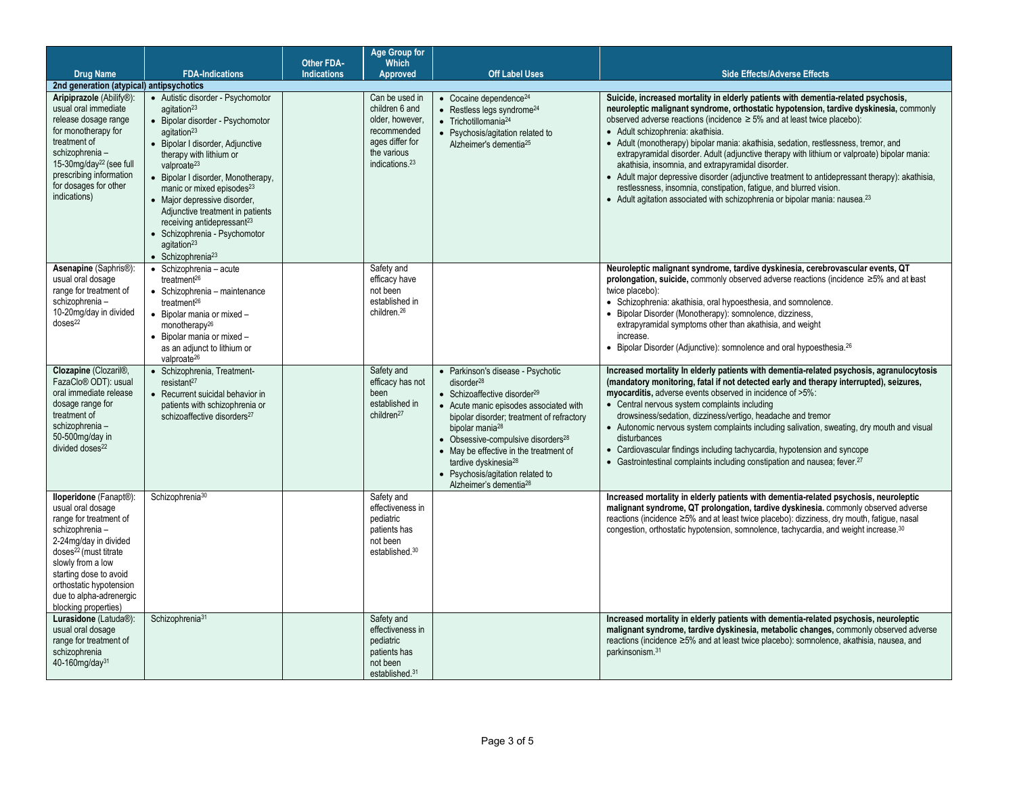|                                                                                                                                                                                                                                                                                     |                                                                                                                                                                                                                                                                                                                                                                                                                                                                                                                   | <b>Other FDA-</b>  | <b>Age Group for</b><br><b>Which</b>                                                                                               |                                                                                                                                                                                                                                                                                                                                                                                                                                         |                                                                                                                                                                                                                                                                                                                                                                                                                                                                                                                                                                                                                                                                                                                                                                                                                |
|-------------------------------------------------------------------------------------------------------------------------------------------------------------------------------------------------------------------------------------------------------------------------------------|-------------------------------------------------------------------------------------------------------------------------------------------------------------------------------------------------------------------------------------------------------------------------------------------------------------------------------------------------------------------------------------------------------------------------------------------------------------------------------------------------------------------|--------------------|------------------------------------------------------------------------------------------------------------------------------------|-----------------------------------------------------------------------------------------------------------------------------------------------------------------------------------------------------------------------------------------------------------------------------------------------------------------------------------------------------------------------------------------------------------------------------------------|----------------------------------------------------------------------------------------------------------------------------------------------------------------------------------------------------------------------------------------------------------------------------------------------------------------------------------------------------------------------------------------------------------------------------------------------------------------------------------------------------------------------------------------------------------------------------------------------------------------------------------------------------------------------------------------------------------------------------------------------------------------------------------------------------------------|
| <b>Drug Name</b>                                                                                                                                                                                                                                                                    | <b>FDA-Indications</b>                                                                                                                                                                                                                                                                                                                                                                                                                                                                                            | <b>Indications</b> | <b>Approved</b>                                                                                                                    | <b>Off Label Uses</b>                                                                                                                                                                                                                                                                                                                                                                                                                   | <b>Side Effects/Adverse Effects</b>                                                                                                                                                                                                                                                                                                                                                                                                                                                                                                                                                                                                                                                                                                                                                                            |
| 2nd generation (atypical) antipsychotics                                                                                                                                                                                                                                            |                                                                                                                                                                                                                                                                                                                                                                                                                                                                                                                   |                    |                                                                                                                                    |                                                                                                                                                                                                                                                                                                                                                                                                                                         |                                                                                                                                                                                                                                                                                                                                                                                                                                                                                                                                                                                                                                                                                                                                                                                                                |
| Aripiprazole (Abilify®):<br>usual oral immediate<br>release dosage range<br>for monotherapy for<br>treatment of<br>schizophrenia -<br>15-30mg/day <sup>22</sup> (see full<br>prescribing information<br>for dosages for other<br>indications)                                       | • Autistic disorder - Psychomotor<br>agitation <sup>23</sup><br>· Bipolar disorder - Psychomotor<br>agitation <sup>23</sup><br>· Bipolar I disorder, Adjunctive<br>therapy with lithium or<br>valproate $^{23}$<br>• Bipolar I disorder, Monotherapy,<br>manic or mixed episodes <sup>23</sup><br>• Major depressive disorder,<br>Adjunctive treatment in patients<br>receiving antidepressant <sup>23</sup><br>· Schizophrenia - Psychomotor<br>agitation <sup>23</sup><br>$\bullet$ Schizophrenia <sup>23</sup> |                    | Can be used in<br>children 6 and<br>older, however.<br>recommended<br>ages differ for<br>the various<br>indications. <sup>23</sup> | $\bullet$ Cocaine dependence <sup>24</sup><br>$\bullet$ Restless legs syndrome <sup>24</sup><br>$\bullet$ Trichotillomania <sup>24</sup><br>• Psychosis/agitation related to<br>Alzheimer's dementia <sup>25</sup>                                                                                                                                                                                                                      | Suicide, increased mortality in elderly patients with dementia-related psychosis,<br>neuroleptic malignant syndrome, orthostatic hypotension, tardive dyskinesia, commonly<br>observed adverse reactions (incidence $\geq$ 5% and at least twice placebo):<br>· Adult schizophrenia: akathisia.<br>• Adult (monotherapy) bipolar mania: akathisia, sedation, restlessness, tremor, and<br>extrapyramidal disorder. Adult (adjunctive therapy with lithium or valproate) bipolar mania:<br>akathisia, insomnia, and extrapyramidal disorder.<br>• Adult major depressive disorder (adjunctive treatment to antidepressant therapy): akathisia,<br>restlessness, insomnia, constipation, fatigue, and blurred vision.<br>• Adult agitation associated with schizophrenia or bipolar mania: nausea. <sup>23</sup> |
| Asenapine (Saphris®):<br>usual oral dosage<br>range for treatment of<br>schizophrenia-<br>10-20mg/day in divided<br>doses <sup>22</sup>                                                                                                                                             | · Schizophrenia - acute<br>treatment <sup>26</sup><br>• Schizophrenia - maintenance<br>treatment <sup>26</sup><br>$\bullet$ Bipolar mania or mixed -<br>monotherapy <sup>26</sup><br>• Bipolar mania or mixed -<br>as an adjunct to lithium or<br>valproate <sup>26</sup>                                                                                                                                                                                                                                         |                    | Safety and<br>efficacy have<br>not been<br>established in<br>children. <sup>26</sup>                                               |                                                                                                                                                                                                                                                                                                                                                                                                                                         | Neuroleptic malignant syndrome, tardive dyskinesia, cerebrovascular events, QT<br>prolongation, suicide, commonly observed adverse reactions (incidence $\geq 5\%$ and at bast<br>twice placebo):<br>• Schizophrenia: akathisia, oral hypoesthesia, and somnolence.<br>• Bipolar Disorder (Monotherapy): somnolence, dizziness,<br>extrapyramidal symptoms other than akathisia, and weight<br>increase.<br>• Bipolar Disorder (Adjunctive): somnolence and oral hypoesthesia. <sup>26</sup>                                                                                                                                                                                                                                                                                                                   |
| Clozapine (Clozaril®,<br>FazaClo <sup>®</sup> ODT): usual<br>oral immediate release<br>dosage range for<br>treatment of<br>schizophrenia-<br>50-500mg/day in<br>divided doses <sup>22</sup>                                                                                         | · Schizophrenia, Treatment-<br>resistant <sup>27</sup><br>• Recurrent suicidal behavior in<br>patients with schizophrenia or<br>schizoaffective disorders <sup>27</sup>                                                                                                                                                                                                                                                                                                                                           |                    | Safety and<br>efficacy has not<br>been<br>established in<br>children <sup>27</sup>                                                 | • Parkinson's disease - Psychotic<br>disorder <sup>28</sup><br>• Schizoaffective disorder <sup>29</sup><br>• Acute manic episodes associated with<br>bipolar disorder; treatment of refractory<br>bipolar mania <sup>28</sup><br>• Obsessive-compulsive disorders <sup>28</sup><br>• May be effective in the treatment of<br>tardive dyskinesia <sup>28</sup><br>• Psychosis/agitation related to<br>Alzheimer's dementia <sup>28</sup> | Increased mortality In elderly patients with dementia-related psychosis, agranulocytosis<br>(mandatory monitoring, fatal if not detected early and therapy interrupted), seizures,<br>myocarditis, adverse events observed in incidence of >5%:<br>• Central nervous system complaints including<br>drowsiness/sedation, dizziness/vertigo, headache and tremor<br>• Autonomic nervous system complaints including salivation, sweating, dry mouth and visual<br>disturbances<br>• Cardiovascular findings including tachycardia, hypotension and syncope<br>• Gastrointestinal complaints including constipation and nausea; fever. <sup>27</sup>                                                                                                                                                             |
| lloperidone (Fanapt®):<br>usual oral dosage<br>range for treatment of<br>schizophrenia -<br>2-24mg/day in divided<br>doses <sup>22</sup> (must titrate<br>slowly from a low<br>starting dose to avoid<br>orthostatic hypotension<br>due to alpha-adrenergic<br>blocking properties) | Schizophrenia <sup>30</sup>                                                                                                                                                                                                                                                                                                                                                                                                                                                                                       |                    | Safety and<br>effectiveness in<br>pediatric<br>patients has<br>not been<br>established. <sup>30</sup>                              |                                                                                                                                                                                                                                                                                                                                                                                                                                         | Increased mortality in elderly patients with dementia-related psychosis, neuroleptic<br>malignant syndrome, QT prolongation, tardive dyskinesia. commonly observed adverse<br>reactions (incidence ≥5% and at least twice placebo): dizziness, dry mouth, fatigue, nasal<br>congestion, orthostatic hypotension, somnolence, tachycardia, and weight increase. <sup>30</sup>                                                                                                                                                                                                                                                                                                                                                                                                                                   |
| Lurasidone (Latuda®):<br>usual oral dosage<br>range for treatment of<br>schizophrenia<br>40-160mg/day <sup>31</sup>                                                                                                                                                                 | Schizophrenia <sup>31</sup>                                                                                                                                                                                                                                                                                                                                                                                                                                                                                       |                    | Safety and<br>effectiveness in<br>pediatric<br>patients has<br>not been<br>established. <sup>31</sup>                              |                                                                                                                                                                                                                                                                                                                                                                                                                                         | Increased mortality in elderly patients with dementia-related psychosis, neuroleptic<br>malignant syndrome, tardive dyskinesia, metabolic changes, commonly observed adverse<br>reactions (incidence ≥5% and at least twice placebo): somnolence, akathisia, nausea, and<br>parkinsonism. <sup>31</sup>                                                                                                                                                                                                                                                                                                                                                                                                                                                                                                        |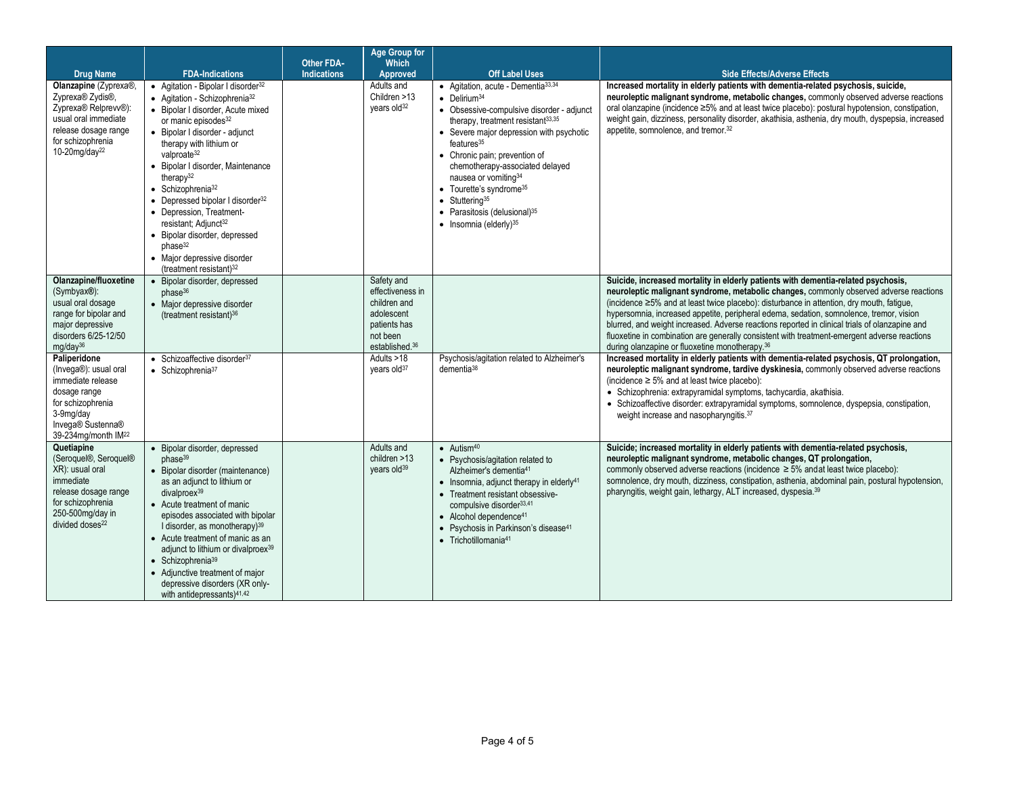|                                                                                                                                                                                                                                                                                                                                |                                                                                                                                                                                                                                                                                                                                                                                                                                                                                                                                                                                                 | Other FDA-         | <b>Age Group for</b><br><b>Which</b>                                                                                                                            |                                                                                                                                                                                                                                                                                                                                                                                                                                                                                                                                      |                                                                                                                                                                                                                                                                                                                                                                                                                                                                                                                                                                                                                                                                                                                                                                                                                                                                                                                                                                                                                                                                                                           |
|--------------------------------------------------------------------------------------------------------------------------------------------------------------------------------------------------------------------------------------------------------------------------------------------------------------------------------|-------------------------------------------------------------------------------------------------------------------------------------------------------------------------------------------------------------------------------------------------------------------------------------------------------------------------------------------------------------------------------------------------------------------------------------------------------------------------------------------------------------------------------------------------------------------------------------------------|--------------------|-----------------------------------------------------------------------------------------------------------------------------------------------------------------|--------------------------------------------------------------------------------------------------------------------------------------------------------------------------------------------------------------------------------------------------------------------------------------------------------------------------------------------------------------------------------------------------------------------------------------------------------------------------------------------------------------------------------------|-----------------------------------------------------------------------------------------------------------------------------------------------------------------------------------------------------------------------------------------------------------------------------------------------------------------------------------------------------------------------------------------------------------------------------------------------------------------------------------------------------------------------------------------------------------------------------------------------------------------------------------------------------------------------------------------------------------------------------------------------------------------------------------------------------------------------------------------------------------------------------------------------------------------------------------------------------------------------------------------------------------------------------------------------------------------------------------------------------------|
| <b>Drug Name</b>                                                                                                                                                                                                                                                                                                               | <b>FDA-Indications</b>                                                                                                                                                                                                                                                                                                                                                                                                                                                                                                                                                                          | <b>Indications</b> | Approved                                                                                                                                                        | <b>Off Label Uses</b>                                                                                                                                                                                                                                                                                                                                                                                                                                                                                                                | <b>Side Effects/Adverse Effects</b>                                                                                                                                                                                                                                                                                                                                                                                                                                                                                                                                                                                                                                                                                                                                                                                                                                                                                                                                                                                                                                                                       |
| Olanzapine (Zyprexa®,<br>Zyprexa® Zydis®,<br>Zyprexa <sup>®</sup> Relprevv <sup>®</sup> ):<br>usual oral immediate<br>release dosage range<br>for schizophrenia<br>10-20mg/day <sup>22</sup>                                                                                                                                   | • Agitation - Bipolar I disorder <sup>32</sup><br>• Agitation - Schizophrenia <sup>32</sup><br>• Bipolar I disorder. Acute mixed<br>or manic episodes <sup>32</sup><br>· Bipolar I disorder - adjunct<br>therapy with lithium or<br>valproate <sup>32</sup><br>· Bipolar I disorder, Maintenance<br>therapy <sup>32</sup><br>• Schizophrenia <sup>32</sup><br>• Depressed bipolar I disorder <sup>32</sup><br>• Depression, Treatment-<br>resistant; Adjunct <sup>32</sup><br>· Bipolar disorder, depressed<br>phase <sup>32</sup><br>• Major depressive disorder<br>(treatment resistant) $32$ |                    | Adults and<br>Children >13<br>vears old <sup>32</sup>                                                                                                           | $\bullet$ Agitation, acute - Dementia $33,34$<br>$\bullet$ Delirium <sup>34</sup><br>• Obsessive-compulsive disorder - adjunct<br>therapy, treatment resistant <sup>33,35</sup><br>• Severe major depression with psychotic<br>features <sup>35</sup><br>• Chronic pain; prevention of<br>chemotherapy-associated delayed<br>nausea or vomiting <sup>34</sup><br>• Tourette's syndrome <sup>35</sup><br>$\bullet$ Stuttering <sup>35</sup><br>• Parasitosis (delusional) <sup>35</sup><br>$\bullet$ Insomnia (elderly) <sup>35</sup> | Increased mortality in elderly patients with dementia-related psychosis, suicide,<br>neuroleptic malignant syndrome, metabolic changes, commonly observed adverse reactions<br>oral olanzapine (incidence ≥5% and at least twice placebo): postural hypotension, constipation,<br>weight gain, dizziness, personality disorder, akathisia, asthenia, dry mouth, dyspepsia, increased<br>appetite, somnolence, and tremor. <sup>32</sup>                                                                                                                                                                                                                                                                                                                                                                                                                                                                                                                                                                                                                                                                   |
| Olanzapine/fluoxetine<br>(Symbyax®):<br>usual oral dosage<br>range for bipolar and<br>major depressive<br>disorders 6/25-12/50<br>ma/day <sup>36</sup><br>Paliperidone<br>(Invega®): usual oral<br>immediate release<br>dosage range<br>for schizophrenia<br>3-9mg/day<br>Invega® Sustenna®<br>39-234mg/month IM <sup>22</sup> | · Bipolar disorder, depressed<br>phase <sup>36</sup><br>• Major depressive disorder<br>(treatment resistant) <sup>36</sup><br>• Schizoaffective disorder <sup>37</sup><br>$\bullet$ Schizophrenia <sup>37</sup>                                                                                                                                                                                                                                                                                                                                                                                 |                    | Safety and<br>effectiveness in<br>children and<br>adolescent<br>patients has<br>not been<br>established. <sup>36</sup><br>Adults >18<br>years old <sup>37</sup> | Psychosis/agitation related to Alzheimer's<br>$d$ ementia $38$                                                                                                                                                                                                                                                                                                                                                                                                                                                                       | Suicide, increased mortality in elderly patients with dementia-related psychosis,<br>neuroleptic malignant syndrome, metabolic changes, commonly observed adverse reactions<br>(incidence ≥5% and at least twice placebo): disturbance in attention, dry mouth, fatigue,<br>hypersomnia, increased appetite, peripheral edema, sedation, somnolence, tremor, vision<br>blurred, and weight increased. Adverse reactions reported in clinical trials of olanzapine and<br>fluoxetine in combination are generally consistent with treatment-emergent adverse reactions<br>during olanzapine or fluoxetine monotherapy. <sup>36</sup><br>Increased mortality in elderly patients with dementia-related psychosis, QT prolongation,<br>neuroleptic malignant syndrome, tardive dyskinesia, commonly observed adverse reactions<br>(incidence $\geq 5\%$ and at least twice placebo):<br>· Schizophrenia: extrapyramidal symptoms, tachycardia, akathisia.<br>· Schizoaffective disorder: extrapyramidal symptoms, somnolence, dyspepsia, constipation,<br>weight increase and nasopharyngitis. <sup>37</sup> |
| Quetiapine<br>(Seroquel <sup>®</sup> , Seroquel <sup>®</sup><br>XR): usual oral<br>immediate<br>release dosage range<br>for schizophrenia<br>250-500mg/day in<br>divided doses <sup>22</sup>                                                                                                                                   | · Bipolar disorder, depressed<br>phase <sup>39</sup><br>• Bipolar disorder (maintenance)<br>as an adjunct to lithium or<br>divalproex <sup>39</sup><br>• Acute treatment of manic<br>episodes associated with bipolar<br>I disorder, as monotherapy) <sup>39</sup><br>• Acute treatment of manic as an<br>adjunct to lithium or divalproex <sup>39</sup><br>$\bullet$ Schizophrenia <sup>39</sup><br>• Adjunctive treatment of major<br>depressive disorders (XR only-<br>with antidepressants) <sup>41,42</sup>                                                                                |                    | Adults and<br>children $>13$<br>years old <sup>39</sup>                                                                                                         | $\bullet$ Autism <sup>40</sup><br>• Psychosis/agitation related to<br>Alzheimer's dementia <sup>41</sup><br>$\bullet$ Insomnia, adjunct therapy in elderly <sup>41</sup><br>• Treatment resistant obsessive-<br>compulsive disorder <sup>33,41</sup><br>• Alcohol dependence <sup>41</sup><br>• Psychosis in Parkinson's disease <sup>41</sup><br>$\bullet$ Trichotillomania <sup>41</sup>                                                                                                                                           | Suicide; increased mortality in elderly patients with dementia-related psychosis,<br>neuroleptic malignant syndrome, metabolic changes, QT prolongation,<br>commonly observed adverse reactions (incidence $\geq$ 5% and at least twice placebo):<br>somnolence, dry mouth, dizziness, constipation, asthenia, abdominal pain, postural hypotension,<br>pharyngitis, weight gain, lethargy, ALT increased, dyspesia. <sup>39</sup>                                                                                                                                                                                                                                                                                                                                                                                                                                                                                                                                                                                                                                                                        |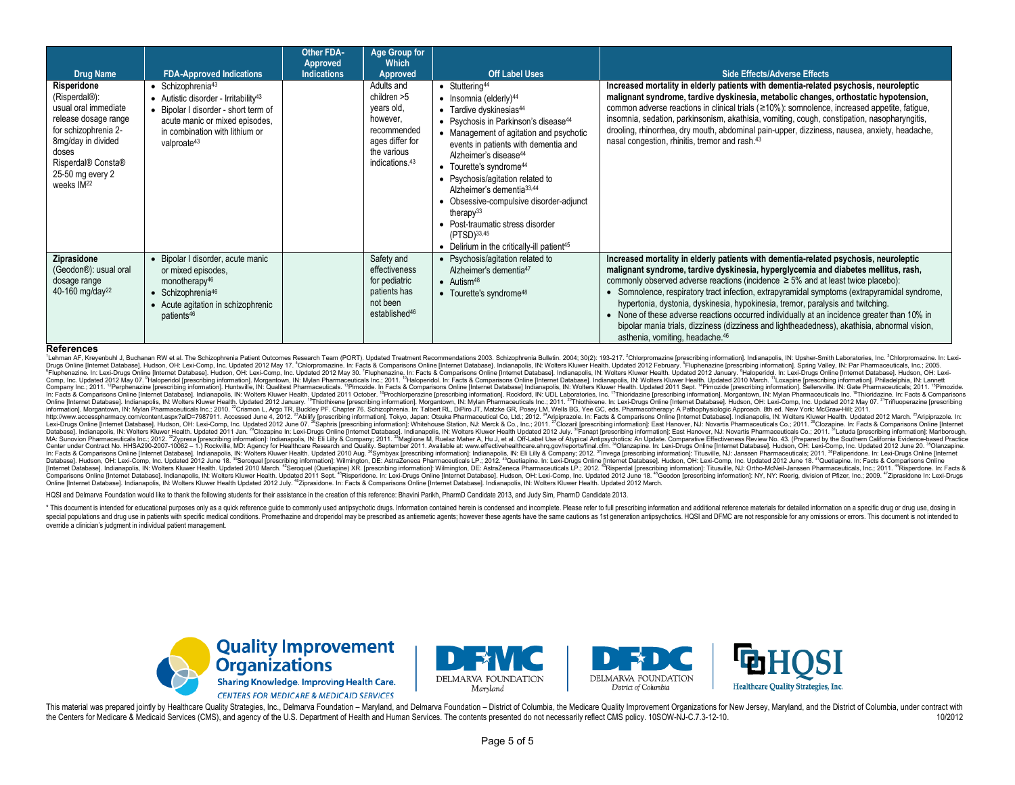| <b>Drug Name</b>                                                                                                                                                                                        | <b>FDA-Approved Indications</b>                                                                                                                                                                                                  | <b>Other FDA-</b><br>Approved<br><b>Indications</b> | <b>Age Group for</b><br>Which<br>Approved                                                                                          | <b>Off Label Uses</b>                                                                                                                                                                                                                                                                                                                                                                                                                                                                                                                                                                         | <b>Side Effects/Adverse Effects</b>                                                                                                                                                                                                                                                                                                                                                                                                                                                                                                                                                                                                                                                           |
|---------------------------------------------------------------------------------------------------------------------------------------------------------------------------------------------------------|----------------------------------------------------------------------------------------------------------------------------------------------------------------------------------------------------------------------------------|-----------------------------------------------------|------------------------------------------------------------------------------------------------------------------------------------|-----------------------------------------------------------------------------------------------------------------------------------------------------------------------------------------------------------------------------------------------------------------------------------------------------------------------------------------------------------------------------------------------------------------------------------------------------------------------------------------------------------------------------------------------------------------------------------------------|-----------------------------------------------------------------------------------------------------------------------------------------------------------------------------------------------------------------------------------------------------------------------------------------------------------------------------------------------------------------------------------------------------------------------------------------------------------------------------------------------------------------------------------------------------------------------------------------------------------------------------------------------------------------------------------------------|
| Risperidone<br>(Risperdal®):<br>usual oral immediate<br>release dosage range<br>for schizophrenia 2-<br>8mg/day in divided<br>doses<br>Risperdal® Consta®<br>25-50 mg every 2<br>weeks IM <sup>22</sup> | $\bullet$ Schizophrenia <sup>43</sup><br>• Autistic disorder - Irritability <sup>43</sup><br>• Bipolar I disorder - short term of<br>acute manic or mixed episodes,<br>in combination with lithium or<br>valproate <sup>43</sup> |                                                     | Adults and<br>children >5<br>years old,<br>however,<br>recommended<br>ages differ for<br>the various<br>indications. <sup>43</sup> | $\bullet$ Stuttering <sup>44</sup><br>$\bullet$ Insomnia (elderly) <sup>44</sup><br>• Tardive dyskinesias <sup>44</sup><br>• Psychosis in Parkinson's disease <sup>44</sup><br>• Management of agitation and psychotic<br>events in patients with dementia and<br>Alzheimer's disease <sup>44</sup><br>• Tourette's syndrome <sup>44</sup><br>• Psychosis/agitation related to<br>Alzheimer's dementia <sup>33,44</sup><br>Obsessive-compulsive disorder-adjunct<br>therapy $33$<br>• Post-traumatic stress disorder<br>(PTSD)33,45<br>• Delirium in the critically-ill patient <sup>45</sup> | Increased mortality in elderly patients with dementia-related psychosis, neuroleptic<br>malignant syndrome, tardive dyskinesia, metabolic changes, orthostatic hypotension,<br>common adverse reactions in clinical trials ( $\geq$ 10%): somnolence, increased appetite, fatigue,<br>insomnia, sedation, parkinsonism, akathisia, vomiting, cough, constipation, nasopharyngitis,<br>drooling, rhinorrhea, dry mouth, abdominal pain-upper, dizziness, nausea, anxiety, headache,<br>nasal congestion, rhinitis, tremor and rash. <sup>43</sup>                                                                                                                                              |
| Ziprasidone<br>(Geodon <sup>®</sup> ): usual oral<br>dosage range<br>40-160 mg/day <sup>22</sup>                                                                                                        | • Bipolar I disorder, acute manic<br>or mixed episodes.<br>monotherapy <sup>46</sup><br>$\bullet$ Schizophrenia <sup>46</sup><br>• Acute agitation in schizophrenic<br>patients <sup>46</sup>                                    |                                                     | Safety and<br>effectiveness<br>for pediatric<br>patients has<br>not been<br>established <sup>46</sup>                              | • Psychosis/agitation related to<br>Alzheimer's dementia <sup>47</sup><br>$\bullet$ Autism <sup>48</sup><br>• Tourette's syndrome <sup>48</sup>                                                                                                                                                                                                                                                                                                                                                                                                                                               | Increased mortality in elderly patients with dementia-related psychosis, neuroleptic<br>malignant syndrome, tardive dyskinesia, hyperglycemia and diabetes mellitus, rash,<br>commonly observed adverse reactions (incidence ≥ 5% and at least twice placebo):<br>Somnolence, respiratory tract infection, extrapyramidal symptoms (extrapyramidal syndrome,<br>hypertonia, dystonia, dyskinesia, hypokinesia, tremor, paralysis and twitching.<br>• None of these adverse reactions occurred individually at an incidence greater than 10% in<br>bipolar mania trials, dizziness (dizziness and lightheadedness), akathisia, abnormal vision,<br>asthenia, vomiting, headache. <sup>46</sup> |

#### **References**

<sup>1</sup>Lehman AF, Kreyenbuhl J, Buchanan RW et al. The Schizophrenia Patient Outcomes Research Team (PORT). Updated Treatment Recommendations 2003. Schizophrenia Bulletin. 2004; 30(2): 193-217. <sup>2</sup>Chlorpromazine [prescribing i Drugs Online [Internet Database]. Hudson, OH: Lexi-Comp, Inc. Updated 2012 May 17. "Chlorpromazine. In: Facts & Comparisons Online [Internet Database}. Indianapolis, IN: Wolters Kluwer Health. Updated 2012 February. <sup>5</sup>Fup Drugs Online [Internet Database]. Hudson, OH: Lexi-Comp, Inc. Updated 2012 May 17. "Chlorpromazine. In: Facts & Comparisons Online [Internet Database]. Indianapolis, IN: Wolters Kluwer Health. Updated 2012 February. "Fluph Comp, Inc. Updated 2012 May 07. <sup>9</sup>Halopendol [prescribing information]. Morgantown, IN: Mylan Pharmaceuticals Inc.; 2011. <sup>10</sup>Halopenidol. In: Facts & Comparisons Online [Internet Database]. Indianapolis, IN: Wolters Kluw Company Inc.; 2011. <sup>12</sup>Perphenazine [prescribing information]. Huntsville, IN: Qualitest Pharmaceuticals. <sup>13</sup>Pimozide. In Facts & Comparisons Online [Internet Database] Indianapolis, IN: Wolters Kluwer Health. Updated 20 In: Facts & Comparisons Online [Internet Database]. Indianapolis, IN: Wolters Kluwer Health. Updated 2011 October. <sup>16</sup>Prochlorperazine [prescribing information]. Rockford, IN: UDL Laboratories, Inc. <sup>17</sup>Thioridazine [pres Online [Internet Database]. Indianapolis, IN: Wolters Kluwer Health. Updated 2012 January. <sup>19</sup>Thiothixene [prescribing information]. Morgantown, IN: Mylan Pharmaceuticals Inc.; 2011. <sup>20</sup>Thiothixene incessubing informatio http://www.accesspharmacy.com/content.aspx?aID=7987911. Accessed June 4, 2012. <sup>23</sup>Ablify [prescribing information]. Tokyo, Japan: Otsuka Pharmaceutical Co, Ltd.; 2012. <sup>24</sup>Apipirazole. In: Facts & Comparisons Online [Inte Database]. Indianapolis, IN: Wolters Kluwer Health. Updated 2011 Jan. <sup>28</sup>Clozapine In: Lexi-Drugs Online [Internet Database]. Indianapolis, IN: Wolters Kluwer Health Updated 2012 July. <sup>30</sup>Fanapt [prescribing information] MA: Sunovion Pharmaceuticals Inc.; 2012. <sup>32</sup>Zyprexa [prescribing information]: Indianapolis, IN: Eil Lilly & Company; 2011. <sup>33</sup>Maglione M, Ruelaz Maher A, Hu J, et al. Off-Label Use of Atypical Antipsychotics: An Update. Center under Contract No. HHSA290-2007-10062 - 1.) Rockville, MD: Agency for Healthcare Research and Quality. September 2011. Available at: www.effectivehealthcare.ahrq.gov/reports/final.cfm. <sup>34</sup>Olanzapine. In: Lexi-Drugs Database]. Hudson, OH: Lexi-Comp, Inc. Updated 2012 June 18. <sup>38</sup>Seroquel [prescribing information]: Wilmington, DE: AstraZeneca Pharmaceuticals LP.; 2012. "Quetiapine. In: Lexi-Drugs Online [Internet Database]. Hudson, OH [Internet Database]. Indianapolis, IN: Wolters Kluwer Health. Updated 2010 March. "Seroquel (Quetiapine) XR. [prescribing information]: Wilmington, DE: AstraZeneca Pharmaceuticals LP.; 2012. "Risperdal [prescribing informa Comparisons Online [Internet Database], individual policy of the Health Updated 2011 Sept. "Risperidone, In: Exi-Drugs Online [Internet Database], Hustom, Dri. Lexi-Comp, Inc. Updated 2012 June 18. "Geodon [prescribing inf Online [Internet Database]. Indianapolis, IN: Wolters Kluwer Health Updated 2012 July. <sup>48</sup>Ziprasidone. In: Facts & Comparisons Online [Internet Database]. Indianapolis, IN: Wolters Kluwer Health. Updated 2012 March.

HQSI and Delmarva Foundation would like to thank the following students for their assistance in the creation of this reference: Bhavini Parikh, PharmD Candidate 2013, and Judy Sim, PharmD Candidate 2013.

\* This document is intended for educational purposes only as a quick reference quide to commonly used antiposychotic drugs. Information contained herein is condensed and incomplete. Please refer to full prescribing informa special populations and druq use in patients with specific medical conditions. Promethazine and droperidol may be prescribed as antiemetic agents; however these agents have the same cautions as 1st generation antipsychotic override a clinician's judgment in individual patient management.









This material was prepared jointly by Healthcare Quality Strategies, Inc., Delmarva Foundation - Maryland, and Delmarva Foundation - District of Columbia, the Medicare Quality Improvement Organizations for New Jersey, Mary the Centers for Medicare & Medicaid Services (CMS), and agency of the U.S. Department of Health and Human Services. The contents presented do not necessarily reflect CMS policy. 10SOW-NJ-C.7.3-12-10. 10. 10/2012 12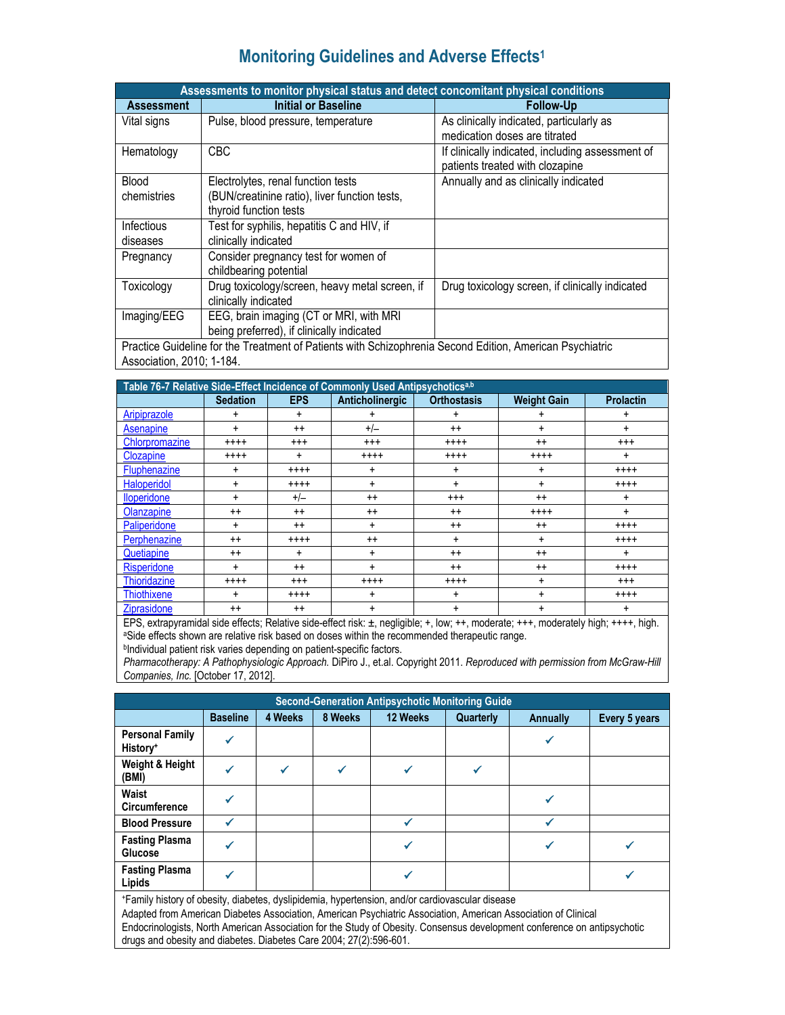# **Monitoring Guidelines and Adverse Effects1**

|                   | Assessments to monitor physical status and detect concomitant physical conditions                               |                                                  |  |  |  |  |  |  |  |
|-------------------|-----------------------------------------------------------------------------------------------------------------|--------------------------------------------------|--|--|--|--|--|--|--|
| <b>Assessment</b> | <b>Initial or Baseline</b>                                                                                      | <b>Follow-Up</b>                                 |  |  |  |  |  |  |  |
| Vital signs       | Pulse, blood pressure, temperature                                                                              | As clinically indicated, particularly as         |  |  |  |  |  |  |  |
|                   |                                                                                                                 | medication doses are titrated                    |  |  |  |  |  |  |  |
| Hematology        | <b>CBC</b>                                                                                                      | If clinically indicated, including assessment of |  |  |  |  |  |  |  |
|                   |                                                                                                                 | patients treated with clozapine                  |  |  |  |  |  |  |  |
| <b>Blood</b>      | Electrolytes, renal function tests                                                                              | Annually and as clinically indicated             |  |  |  |  |  |  |  |
| chemistries       | (BUN/creatinine ratio), liver function tests,                                                                   |                                                  |  |  |  |  |  |  |  |
|                   | thyroid function tests                                                                                          |                                                  |  |  |  |  |  |  |  |
| Infectious        | Test for syphilis, hepatitis C and HIV, if                                                                      |                                                  |  |  |  |  |  |  |  |
| diseases          | clinically indicated                                                                                            |                                                  |  |  |  |  |  |  |  |
| Pregnancy         | Consider pregnancy test for women of                                                                            |                                                  |  |  |  |  |  |  |  |
|                   | childbearing potential                                                                                          |                                                  |  |  |  |  |  |  |  |
| Toxicology        | Drug toxicology/screen, heavy metal screen, if                                                                  | Drug toxicology screen, if clinically indicated  |  |  |  |  |  |  |  |
|                   | clinically indicated                                                                                            |                                                  |  |  |  |  |  |  |  |
| Imaging/EEG       | EEG, brain imaging (CT or MRI, with MRI                                                                         |                                                  |  |  |  |  |  |  |  |
|                   | being preferred), if clinically indicated                                                                       |                                                  |  |  |  |  |  |  |  |
|                   | <b>Practice Cuideline for the Treatment of Patients with Schizophrenia Second Edition, American Psychiatric</b> |                                                  |  |  |  |  |  |  |  |

Practice Guideline for the Treatment of Patients with Schizophrenia Second Edition, American Psychiatric Association, 2010; 1-184.

| Table 76-7 Relative Side-Effect Incidence of Commonly Used Antipsychoticsa,b |                 |            |                 |                    |                    |                  |  |  |  |
|------------------------------------------------------------------------------|-----------------|------------|-----------------|--------------------|--------------------|------------------|--|--|--|
|                                                                              | <b>Sedation</b> | <b>EPS</b> | Anticholinergic | <b>Orthostasis</b> | <b>Weight Gain</b> | <b>Prolactin</b> |  |  |  |
| Aripiprazole                                                                 | ÷               | ÷          | ٠               | +                  | ٠                  | +                |  |  |  |
| Asenapine                                                                    | +               | $++$       | $+/-$           | $^{++}$            | +                  | +                |  |  |  |
| Chlorpromazine                                                               | $++++$          | $^{+++}$   | $^{+++}$        | $+++++$            | $++$               | $^{+++}$         |  |  |  |
| Clozapine                                                                    | $++++$          | $\ddot{}$  | $^{+++}$        | $^{+++}$           | $^{+++}$           | ÷                |  |  |  |
| Fluphenazine                                                                 | ÷               | $++++$     | +               | +                  | ÷                  | $^{+++}$         |  |  |  |
| Haloperidol                                                                  | +               | $^{+++}$   | $\ddot{}$       | +                  | $\ddot{}$          | $^{+++}$         |  |  |  |
| <b>Iloperidone</b>                                                           | +               | $+/-$      | $++$            | $^{+++}$           | $^{++}$            | +                |  |  |  |
| Olanzapine                                                                   | $^{++}$         | $++$       | $++$            | $++$               | $^{+++}$           | +                |  |  |  |
| Paliperidone                                                                 | ÷               | $^{++}$    | $\ddot{}$       | $^{++}$            | $++$               | $***+$           |  |  |  |
| Perphenazine                                                                 | $^{++}$         | $^{+++}$   | $^{++}$         | +                  | $+$                | $^{+++}$         |  |  |  |
| Quetiapine                                                                   | $^{++}$         | $\ddot{}$  | +               | $++$               | $++$               | $\ddot{}$        |  |  |  |
| Risperidone                                                                  | +               | $^{++}$    | $\ddot{}$       | $^{++}$            | $^{++}$            | $^{+++}$         |  |  |  |
| <b>Thioridazine</b>                                                          | $***$           | $^{+++}$   | $^{+++}$        | $++++$             | +                  | $^{+++}$         |  |  |  |
| <b>Thiothixene</b>                                                           | ÷               | $+++++$    | $\ddot{}$       | +                  | $\ddot{}$          | $^{+++}$         |  |  |  |
| Ziprasidone                                                                  | $^{++}$         | $^{++}$    | $\ddot{}$       | +                  | ÷                  | ÷                |  |  |  |

EPS, extrapyramidal side effects; Relative side-effect risk: ±, negligible; +, low; ++, moderate; +++, moderately high; ++++, high.<br><sup>a</sup>Side effects shown are relative risk based on doses within the recommended therapeutic

bIndividual patient risk varies depending on patient-specific factors.

*Pharmacotherapy: A Pathophysiologic Approach.* DiPiro J., et.al. Copyright 2011. *Reproduced with permission from McGraw-Hill Companies, Inc.* [October 17, 2012].

| <b>Second-Generation Antipsychotic Monitoring Guide</b>                                         |                 |         |         |          |           |          |               |  |  |
|-------------------------------------------------------------------------------------------------|-----------------|---------|---------|----------|-----------|----------|---------------|--|--|
|                                                                                                 | <b>Baseline</b> | 4 Weeks | 8 Weeks | 12 Weeks | Quarterly | Annually | Every 5 years |  |  |
| <b>Personal Family</b><br>History <sup>+</sup>                                                  |                 |         |         |          |           | √        |               |  |  |
| Weight & Height<br>(BMI)                                                                        |                 | ✔       | ✔       |          |           |          |               |  |  |
| Waist<br><b>Circumference</b>                                                                   |                 |         |         |          |           | ✔        |               |  |  |
| <b>Blood Pressure</b>                                                                           |                 |         |         |          |           | ┙        |               |  |  |
| <b>Fasting Plasma</b><br>Glucose                                                                |                 |         |         |          |           | ✔        |               |  |  |
| <b>Fasting Plasma</b><br>Lipids                                                                 |                 |         |         |          |           |          |               |  |  |
| *Family history of obesity, diabetes, dyslipidemia, hypertension, and/or cardiovascular disease |                 |         |         |          |           |          |               |  |  |

 Endocrinologists, North American Association for the Study of Obesity. Consensus development conference on antipsychotic Adapted from American Diabetes Association, American Psychiatric Association, American Association of Clinical drugs and obesity and diabetes. Diabetes Care 2004; 27(2):596-601.